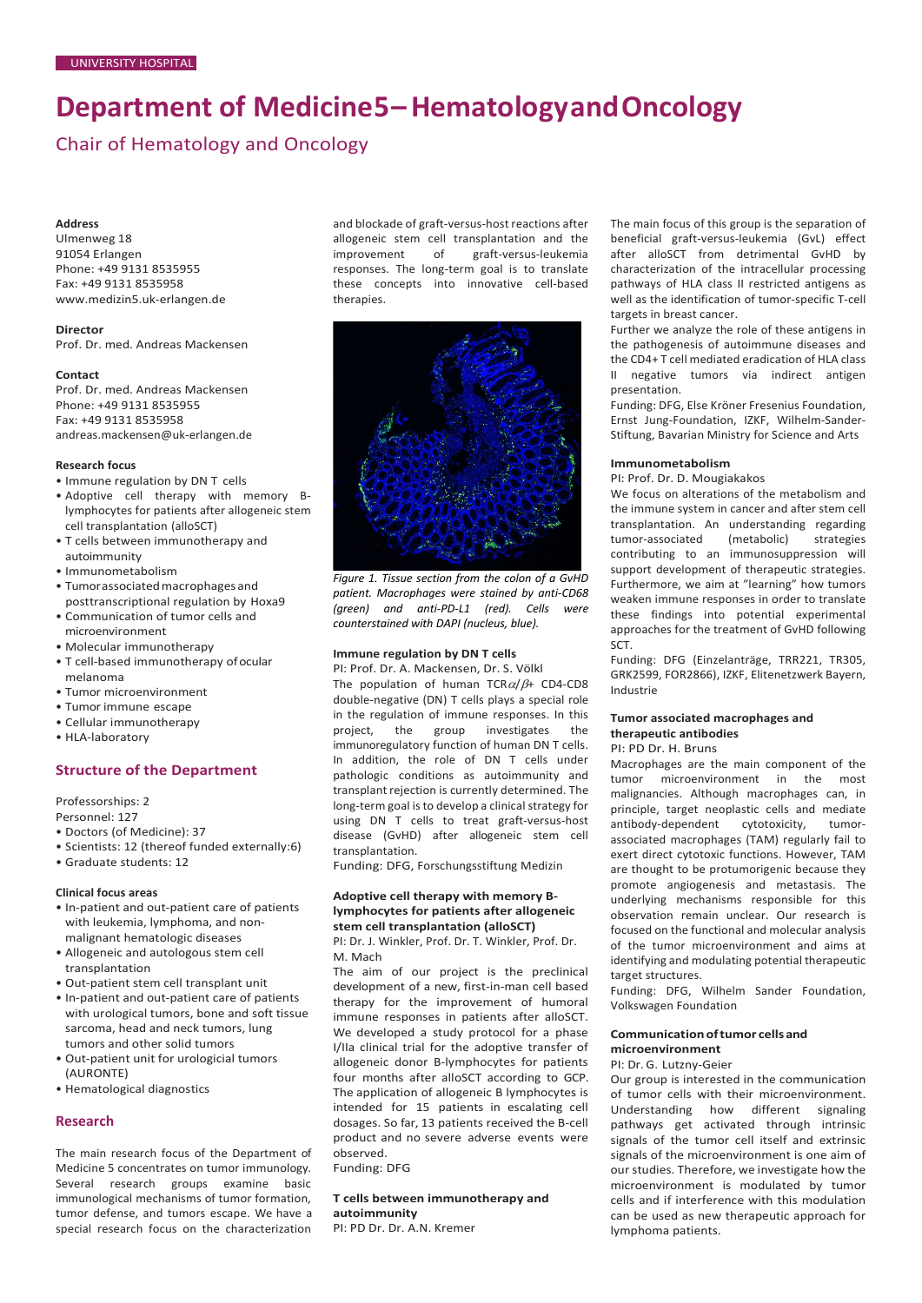# **Department of Medicine5–HematologyandOncology**

Chair of Hematology and Oncology

## **Address**

Ulmenweg 18 91054 Erlangen Phone: +49 9131 8535955 Fax: +49 9131 8535958 [www.medizin5.uk-erlangen.de](http://www.medizin5.uk-erlangen.de/)

# **Director**

Prof. Dr. med. Andreas Mackensen

## **Contact**

Prof. Dr. med. Andreas Mackensen Phone: +49 9131 8535955 Fax: +49 9131 8535958 [andreas.mackensen@uk-erlangen.de](mailto:andreas.mackensen@uk-erlangen.de)

# **Research focus**

- Immune regulation by DN T cells
- Adoptive cell therapy with memory Blymphocytes for patients after allogeneic stem cell transplantation (alloSCT)
- T cells between immunotherapy and autoimmunity
- Immunometabolism
- Tumorassociatedmacrophagesand
- posttranscriptional regulation by Hoxa9 • Communication of tumor cells and
- microenvironment • Molecular immunotherapy
- T cell-based immunotherapy ofocular melanoma
- Tumor microenvironment
- Tumor immune escape
- Cellular immunotherapy
- HLA-laboratory

# **Structure of the Department**

Professorships: 2 Personnel: 127

- Doctors (of Medicine): 37
- Scientists: 12 (thereof funded externally:6)
- Graduate students: 12

# **Clinical focus areas**

- In-patient and out-patient care of patients with leukemia, lymphoma, and nonmalignant hematologic diseases
- Allogeneic and autologous stem cell transplantation
- Out-patient stem cell transplant unit
- In-patient and out-patient care of patients with urological tumors, bone and soft tissue sarcoma, head and neck tumors, lung tumors and other solid tumors
- Out-patient unit for urologicial tumors (AURONTE)
- Hematological diagnostics

## **Research**

The main research focus of the Department of Medicine 5 concentrates on tumor immunology. Several research groups examine basic immunological mechanisms of tumor formation, tumor defense, and tumors escape. We have a special research focus on the characterization and blockade of graft-versus-host reactions after allogeneic stem cell transplantation and the<br>improvement of graft-versus-leukemia graft-versus-leukemia responses. The long-term goal is to translate these concepts into innovative cell-based therapies.



*Figure 1. Tissue section from the colon of a GvHD patient. Macrophages were stained by anti-CD68 (green) and anti-PD-L1 (red). Cells were counterstained with DAPI (nucleus, blue).*

## **Immune regulation by DN T cells**

PI: Prof. Dr. A. Mackensen, Dr. S. Völkl The population of human TCR $\alpha/\beta$ + CD4-CD8 double-negative (DN) T cells plays a special role in the regulation of immune responses. In this project, the group investigates the immunoregulatory function of human DN T cells. In addition, the role of DN T cells under pathologic conditions as autoimmunity and transplant rejection is currently determined. The long-term goal is to develop a clinical strategy for using DN T cells to treat graft-versus-host disease (GvHD) after allogeneic stem cell transplantation.

Funding: DFG, Forschungsstiftung Medizin

#### **Adoptive cell therapy with memory Blymphocytes for patients after allogeneic stem cell transplantation (alloSCT)**

PI: Dr. J. Winkler, Prof. Dr. T. Winkler, Prof. Dr. M. Mach

The aim of our project is the preclinical development of a new, first-in-man cell based therapy for the improvement of humoral immune responses in patients after alloSCT. We developed a study protocol for a phase I/IIa clinical trial for the adoptive transfer of allogeneic donor B-lymphocytes for patients four months after alloSCT according to GCP. The application of allogeneic B lymphocytes is intended for 15 patients in escalating cell dosages. So far, 13 patients received the B-cell product and no severe adverse events were observed.

Funding: DFG

## **T cells between immunotherapy and autoimmunity**

PI: PD Dr. Dr. A.N. Kremer

The main focus of this group is the separation of beneficial graft-versus-leukemia (GvL) effect after alloSCT from detrimental GvHD by characterization of the intracellular processing pathways of HLA class II restricted antigens as well as the identification of tumor-specific T-cell targets in breast cancer.

Further we analyze the role of these antigens in the pathogenesis of autoimmune diseases and the CD4+ T cell mediated eradication of HLA class II negative tumors via indirect antigen presentation.

Funding: DFG, Else Kröner Fresenius Foundation, Ernst Jung-Foundation, IZKF, Wilhelm-Sander-Stiftung, Bavarian Ministry for Science and Arts

## **Immunometabolism**

PI: Prof. Dr. D. Mougiakakos

We focus on alterations of the metabolism and the immune system in cancer and after stem cell transplantation. An understanding regarding<br>tumor-associated (metabolic) strategies tumor-associated (metabolic) contributing to an immunosuppression will support development of therapeutic strategies. Furthermore, we aim at "learning" how tumors weaken immune responses in order to translate these findings into potential experimental approaches for the treatment of GvHD following SCT.

Funding: DFG (Einzelanträge, TRR221, TR305, GRK2599, FOR2866), IZKF, Elitenetzwerk Bayern, Industrie

# **Tumor associated macrophages and therapeutic antibodies**

#### PI: PD Dr. H. Bruns

Macrophages are the main component of the tumor microenvironment in the most malignancies. Although macrophages can, in principle, target neoplastic cells and mediate<br>antibody-dependent cytotoxicity, tumorantibody-dependent cytotoxicity, tumorassociated macrophages (TAM) regularly fail to exert direct cytotoxic functions. However, TAM are thought to be protumorigenic because they promote angiogenesis and metastasis. The underlying mechanisms responsible for this observation remain unclear. Our research is focused on the functional and molecular analysis of the tumor microenvironment and aims at identifying and modulating potential therapeutic target structures.

Funding: DFG, Wilhelm Sander Foundation, Volkswagen Foundation

## **Communicationoftumor cells and microenvironment**

PI: Dr. G. Lutzny-Geier

Our group is interested in the communication of tumor cells with their microenvironment. Understanding how different signaling pathways get activated through intrinsic signals of the tumor cell itself and extrinsic signals of the microenvironment is one aim of our studies. Therefore, we investigate how the microenvironment is modulated by tumor cells and if interference with this modulation can be used as new therapeutic approach for lymphoma patients.